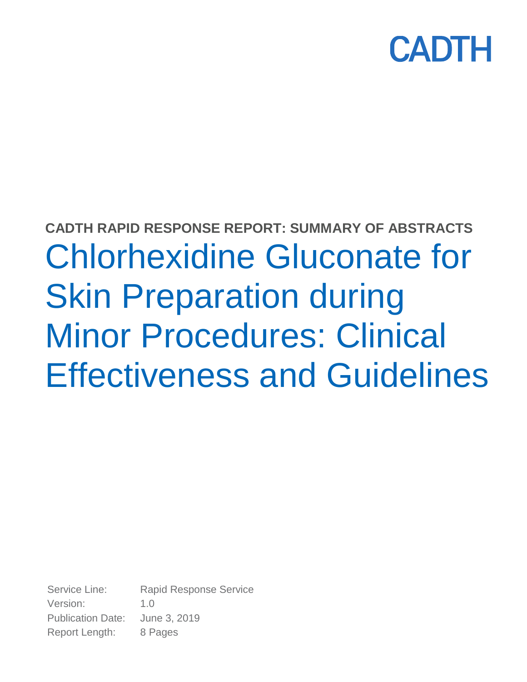

# **CADTH RAPID RESPONSE REPORT: SUMMARY OF ABSTRACTS** Chlorhexidine Gluconate for Skin Preparation during Minor Procedures: Clinical Effectiveness and Guidelines

Service Line: Rapid Response Service Version: 1.0 Publication Date: June 3, 2019 Report Length: 8 Pages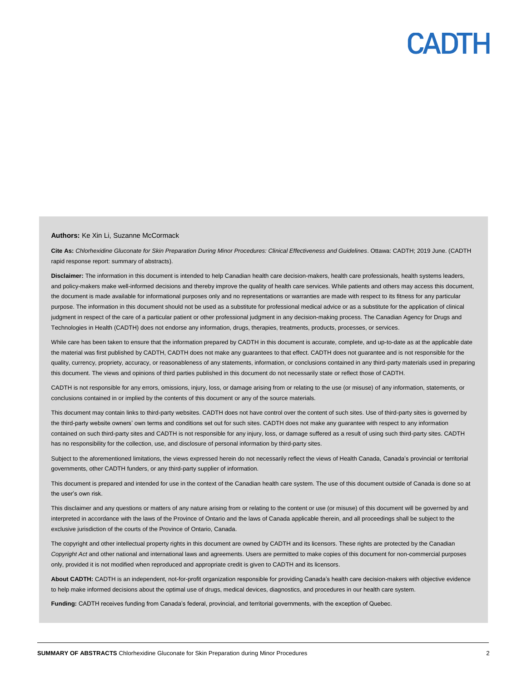#### **Authors:** Ke Xin Li, Suzanne McCormack

**Cite As:** *Chlorhexidine Gluconate for Skin Preparation During Minor Procedures: Clinical Effectiveness and Guidelines*. Ottawa: CADTH; 2019 June. (CADTH rapid response report: summary of abstracts).

**Disclaimer:** The information in this document is intended to help Canadian health care decision-makers, health care professionals, health systems leaders, and policy-makers make well-informed decisions and thereby improve the quality of health care services. While patients and others may access this document, the document is made available for informational purposes only and no representations or warranties are made with respect to its fitness for any particular purpose. The information in this document should not be used as a substitute for professional medical advice or as a substitute for the application of clinical judgment in respect of the care of a particular patient or other professional judgment in any decision-making process. The Canadian Agency for Drugs and Technologies in Health (CADTH) does not endorse any information, drugs, therapies, treatments, products, processes, or services.

While care has been taken to ensure that the information prepared by CADTH in this document is accurate, complete, and up-to-date as at the applicable date the material was first published by CADTH, CADTH does not make any guarantees to that effect. CADTH does not guarantee and is not responsible for the quality, currency, propriety, accuracy, or reasonableness of any statements, information, or conclusions contained in any third-party materials used in preparing this document. The views and opinions of third parties published in this document do not necessarily state or reflect those of CADTH.

CADTH is not responsible for any errors, omissions, injury, loss, or damage arising from or relating to the use (or misuse) of any information, statements, or conclusions contained in or implied by the contents of this document or any of the source materials.

This document may contain links to third-party websites. CADTH does not have control over the content of such sites. Use of third-party sites is governed by the third-party website owners' own terms and conditions set out for such sites. CADTH does not make any guarantee with respect to any information contained on such third-party sites and CADTH is not responsible for any injury, loss, or damage suffered as a result of using such third-party sites. CADTH has no responsibility for the collection, use, and disclosure of personal information by third-party sites.

Subject to the aforementioned limitations, the views expressed herein do not necessarily reflect the views of Health Canada, Canada's provincial or territorial governments, other CADTH funders, or any third-party supplier of information.

This document is prepared and intended for use in the context of the Canadian health care system. The use of this document outside of Canada is done so at the user's own risk.

This disclaimer and any questions or matters of any nature arising from or relating to the content or use (or misuse) of this document will be governed by and interpreted in accordance with the laws of the Province of Ontario and the laws of Canada applicable therein, and all proceedings shall be subject to the exclusive jurisdiction of the courts of the Province of Ontario, Canada.

The copyright and other intellectual property rights in this document are owned by CADTH and its licensors. These rights are protected by the Canadian *Copyright Act* and other national and international laws and agreements. Users are permitted to make copies of this document for non-commercial purposes only, provided it is not modified when reproduced and appropriate credit is given to CADTH and its licensors.

**About CADTH:** CADTH is an independent, not-for-profit organization responsible for providing Canada's health care decision-makers with objective evidence to help make informed decisions about the optimal use of drugs, medical devices, diagnostics, and procedures in our health care system.

**Funding:** CADTH receives funding from Canada's federal, provincial, and territorial governments, with the exception of Quebec.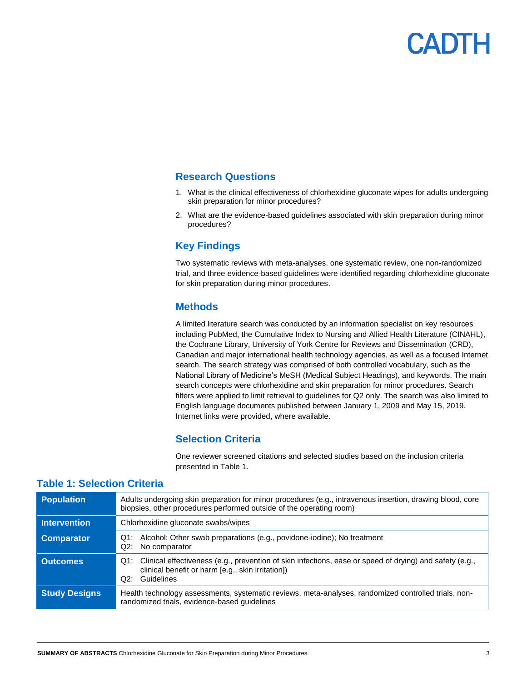## **Research Questions**

- 1. What is the clinical effectiveness of chlorhexidine gluconate wipes for adults undergoing skin preparation for minor procedures?
- 2. What are the evidence-based guidelines associated with skin preparation during minor procedures?

## **Key Findings**

Two systematic reviews with meta-analyses, one systematic review, one non-randomized trial, and three evidence-based guidelines were identified regarding chlorhexidine gluconate for skin preparation during minor procedures.

### **Methods**

A limited literature search was conducted by an information specialist on key resources including PubMed, the Cumulative Index to Nursing and Allied Health Literature (CINAHL), the Cochrane Library, University of York Centre for Reviews and Dissemination (CRD), Canadian and major international health technology agencies, as well as a focused Internet search. The search strategy was comprised of both controlled vocabulary, such as the National Library of Medicine's MeSH (Medical Subject Headings), and keywords. The main search concepts were chlorhexidine and skin preparation for minor procedures. Search filters were applied to limit retrieval to guidelines for Q2 only. The search was also limited to English language documents published between January 1, 2009 and May 15, 2019. Internet links were provided, where available.

### **Selection Criteria**

One reviewer screened citations and selected studies based on the inclusion criteria presented in Table 1.

| <b>Population</b>    | Adults undergoing skin preparation for minor procedures (e.g., intravenous insertion, drawing blood, core<br>biopsies, other procedures performed outside of the operating room)   |  |  |
|----------------------|------------------------------------------------------------------------------------------------------------------------------------------------------------------------------------|--|--|
| <b>Intervention</b>  | Chlorhexidine gluconate swabs/wipes                                                                                                                                                |  |  |
| <b>Comparator</b>    | Q1: Alcohol; Other swab preparations (e.g., povidone-iodine); No treatment<br>Q2: No comparator                                                                                    |  |  |
| <b>Outcomes</b>      | Q1: Clinical effectiveness (e.g., prevention of skin infections, ease or speed of drying) and safety (e.g.,<br>clinical benefit or harm [e.g., skin irritation])<br>Q2: Guidelines |  |  |
| <b>Study Designs</b> | Health technology assessments, systematic reviews, meta-analyses, randomized controlled trials, non-<br>randomized trials, evidence-based guidelines                               |  |  |

### **Table 1: Selection Criteria**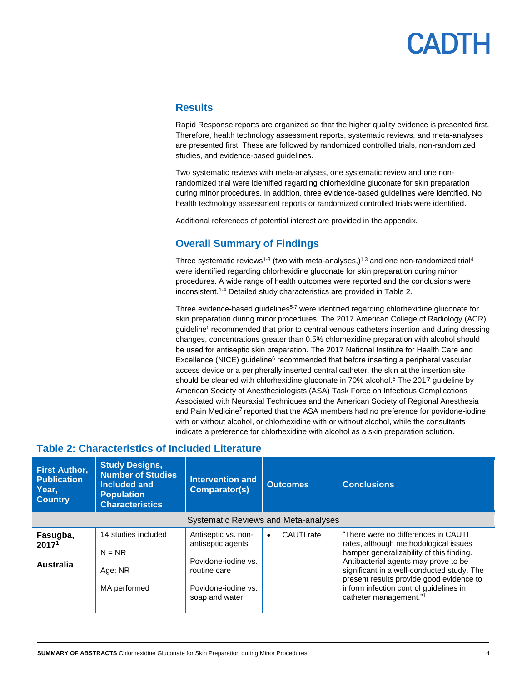### **Results**

Rapid Response reports are organized so that the higher quality evidence is presented first. Therefore, health technology assessment reports, systematic reviews, and meta-analyses are presented first. These are followed by randomized controlled trials, non-randomized studies, and evidence-based guidelines.

Two systematic reviews with meta-analyses, one systematic review and one nonrandomized trial were identified regarding chlorhexidine gluconate for skin preparation during minor procedures. In addition, three evidence-based guidelines were identified. No health technology assessment reports or randomized controlled trials were identified.

Additional references of potential interest are provided in the appendix.

## **Overall Summary of Findings**

Three systematic reviews<sup>1-3</sup> (two with meta-analyses,)<sup>1,3</sup> and one non-randomized trial<sup>4</sup> were identified regarding chlorhexidine gluconate for skin preparation during minor procedures. A wide range of health outcomes were reported and the conclusions were inconsistent.1-4 Detailed study characteristics are provided in Table 2.

Three evidence-based guidelines<sup>5-7</sup> were identified regarding chlorhexidine gluconate for skin preparation during minor procedures. The 2017 American College of Radiology (ACR) guideline<sup>5</sup> recommended that prior to central venous catheters insertion and during dressing changes, concentrations greater than 0.5% chlorhexidine preparation with alcohol should be used for antiseptic skin preparation. The 2017 National Institute for Health Care and Excellence (NICE) guideline<sup>6</sup> recommended that before inserting a peripheral vascular access device or a peripherally inserted central catheter, the skin at the insertion site should be cleaned with chlorhexidine gluconate in  $70\%$  alcohol. $6$  The 2017 guideline by American Society of Anesthesiologists (ASA) Task Force on Infectious Complications Associated with Neuraxial Techniques and the American Society of Regional Anesthesia and Pain Medicine<sup>7</sup> reported that the ASA members had no preference for povidone-iodine with or without alcohol, or chlorhexidine with or without alcohol, while the consultants indicate a preference for chlorhexidine with alcohol as a skin preparation solution.

| <b>First Author,</b><br><b>Publication</b><br>Year.<br><b>Country</b> | <b>Study Designs,</b><br><b>Number of Studies</b><br>Included and<br><b>Population</b><br><b>Characteristics</b> | <b>Intervention and</b><br>Comparator(s)                                                               | <b>Outcomes</b>         | <b>Conclusions</b>                                                                                                                                                                                                                                                                                    |  |  |
|-----------------------------------------------------------------------|------------------------------------------------------------------------------------------------------------------|--------------------------------------------------------------------------------------------------------|-------------------------|-------------------------------------------------------------------------------------------------------------------------------------------------------------------------------------------------------------------------------------------------------------------------------------------------------|--|--|
| <b>Systematic Reviews and Meta-analyses</b>                           |                                                                                                                  |                                                                                                        |                         |                                                                                                                                                                                                                                                                                                       |  |  |
| Fasugba,<br>2017 <sup>1</sup><br><b>Australia</b>                     | 14 studies included<br>$N = NR$<br>Age: NR<br>MA performed                                                       | Antiseptic vs. non-<br>antiseptic agents<br>Povidone-jodine vs.<br>routine care<br>Povidone-jodine vs. | CAUTI rate<br>$\bullet$ | "There were no differences in CAUTI"<br>rates, although methodological issues<br>hamper generalizability of this finding.<br>Antibacterial agents may prove to be<br>significant in a well-conducted study. The<br>present results provide good evidence to<br>inform infection control guidelines in |  |  |
|                                                                       |                                                                                                                  | soap and water                                                                                         |                         | catheter management."1                                                                                                                                                                                                                                                                                |  |  |

### **Table 2: Characteristics of Included Literature**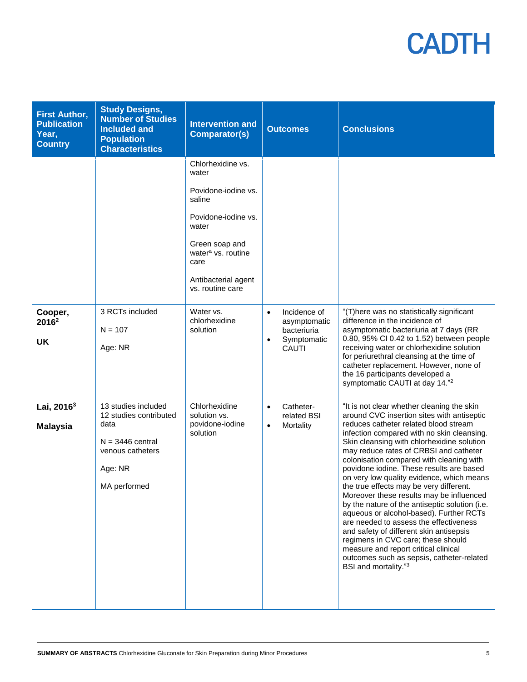| <b>First Author,</b><br><b>Publication</b><br>Year,<br><b>Country</b> | <b>Study Designs,</b><br><b>Number of Studies</b><br><b>Included and</b><br><b>Population</b><br><b>Characteristics</b>    | <b>Intervention and</b><br><b>Comparator(s)</b>                                                                                                                                                    | <b>Outcomes</b>                                                                                      | <b>Conclusions</b>                                                                                                                                                                                                                                                                                                                                                                                                                                                                                                                                                                                                                                                                                                                                                                                                                       |
|-----------------------------------------------------------------------|----------------------------------------------------------------------------------------------------------------------------|----------------------------------------------------------------------------------------------------------------------------------------------------------------------------------------------------|------------------------------------------------------------------------------------------------------|------------------------------------------------------------------------------------------------------------------------------------------------------------------------------------------------------------------------------------------------------------------------------------------------------------------------------------------------------------------------------------------------------------------------------------------------------------------------------------------------------------------------------------------------------------------------------------------------------------------------------------------------------------------------------------------------------------------------------------------------------------------------------------------------------------------------------------------|
|                                                                       |                                                                                                                            | Chlorhexidine vs.<br>water<br>Povidone-iodine vs.<br>saline<br>Povidone-jodine vs.<br>water<br>Green soap and<br>water <sup>a</sup> vs. routine<br>care<br>Antibacterial agent<br>vs. routine care |                                                                                                      |                                                                                                                                                                                                                                                                                                                                                                                                                                                                                                                                                                                                                                                                                                                                                                                                                                          |
| Cooper,<br>2016 <sup>2</sup><br>UK                                    | 3 RCTs included<br>$N = 107$<br>Age: NR                                                                                    | Water vs.<br>chlorhexidine<br>solution                                                                                                                                                             | Incidence of<br>$\bullet$<br>asymptomatic<br>bacteriuria<br>Symptomatic<br>$\bullet$<br><b>CAUTI</b> | "(T)here was no statistically significant<br>difference in the incidence of<br>asymptomatic bacteriuria at 7 days (RR<br>0.80, 95% CI 0.42 to 1.52) between people<br>receiving water or chlorhexidine solution<br>for periurethral cleansing at the time of<br>catheter replacement. However, none of<br>the 16 participants developed a<br>symptomatic CAUTI at day 14." <sup>2</sup>                                                                                                                                                                                                                                                                                                                                                                                                                                                  |
| Lai, $2016^3$<br><b>Malaysia</b>                                      | 13 studies included<br>12 studies contributed<br>data<br>$N = 3446$ central<br>venous catheters<br>Age: NR<br>MA performed | Chlorhexidine<br>solution vs.<br>povidone-iodine<br>solution                                                                                                                                       | Catheter-<br>$\bullet$<br>related BSI<br>Mortality<br>$\bullet$                                      | "It is not clear whether cleaning the skin<br>around CVC insertion sites with antiseptic<br>reduces catheter related blood stream<br>infection compared with no skin cleansing.<br>Skin cleansing with chlorhexidine solution<br>may reduce rates of CRBSI and catheter<br>colonisation compared with cleaning with<br>povidone iodine. These results are based<br>on very low quality evidence, which means<br>the true effects may be very different.<br>Moreover these results may be influenced<br>by the nature of the antiseptic solution (i.e.<br>aqueous or alcohol-based). Further RCTs<br>are needed to assess the effectiveness<br>and safety of different skin antisepsis<br>regimens in CVC care; these should<br>measure and report critical clinical<br>outcomes such as sepsis, catheter-related<br>BSI and mortality."3 |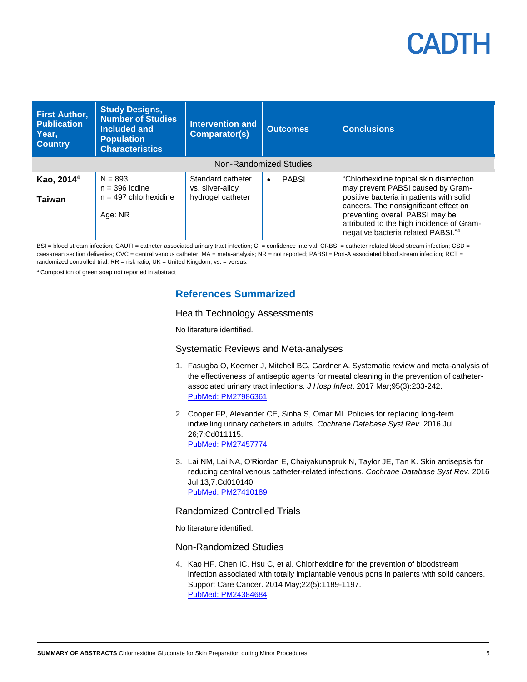| <b>First Author,</b><br><b>Publication</b><br>Year,<br><b>Country</b> | <b>Study Designs,</b><br><b>Number of Studies</b><br>Included and<br><b>Population</b><br><b>Characteristics</b> | <b>Intervention and</b><br>Comparator(s)                   | <b>Outcomes</b> | <b>Conclusions</b>                                                                                                                                                                                                                                                                       |  |  |
|-----------------------------------------------------------------------|------------------------------------------------------------------------------------------------------------------|------------------------------------------------------------|-----------------|------------------------------------------------------------------------------------------------------------------------------------------------------------------------------------------------------------------------------------------------------------------------------------------|--|--|
| Non-Randomized Studies                                                |                                                                                                                  |                                                            |                 |                                                                                                                                                                                                                                                                                          |  |  |
| Kao, 2014 <sup>4</sup><br>Taiwan                                      | $N = 893$<br>$n = 396$ iodine<br>$n = 497$ chlorhexidine<br>Age: NR                                              | Standard catheter<br>vs. silver-alloy<br>hydrogel catheter | <b>PABSI</b>    | "Chlorhexidine topical skin disinfection<br>may prevent PABSI caused by Gram-<br>positive bacteria in patients with solid<br>cancers. The nonsignificant effect on<br>preventing overall PABSI may be<br>attributed to the high incidence of Gram-<br>negative bacteria related PABSI."4 |  |  |

BSI = blood stream infection; CAUTI = catheter-associated urinary tract infection; CI = confidence interval; CRBSI = catheter-related blood stream infection; CSD = caesarean section deliveries; CVC = central venous catheter; MA = meta-analysis; NR = not reported; PABSI = Port-A associated blood stream infection; RCT = randomized controlled trial; RR = risk ratio; UK = United Kingdom; vs. = versus.

<sup>a</sup> Composition of green soap not reported in abstract

### **References Summarized**

#### Health Technology Assessments

No literature identified.

#### Systematic Reviews and Meta-analyses

- 1. Fasugba O, Koerner J, Mitchell BG, Gardner A. Systematic review and meta-analysis of the effectiveness of antiseptic agents for meatal cleaning in the prevention of catheterassociated urinary tract infections. *J Hosp Infect*. 2017 Mar;95(3):233-242. [PubMed: PM27986361](http://www.ncbi.nlm.nih.gov/pubmed/27986361)
- 2. Cooper FP, Alexander CE, Sinha S, Omar MI. Policies for replacing long-term indwelling urinary catheters in adults. *Cochrane Database Syst Rev*. 2016 Jul 26;7:Cd011115. [PubMed: PM27457774](http://www.ncbi.nlm.nih.gov/pubmed/27457774)
- 3. Lai NM, Lai NA, O'Riordan E, Chaiyakunapruk N, Taylor JE, Tan K. Skin antisepsis for reducing central venous catheter-related infections. *Cochrane Database Syst Rev*. 2016 Jul 13;7:Cd010140. [PubMed: PM27410189](http://www.ncbi.nlm.nih.gov/pubmed/27410189)

#### Randomized Controlled Trials

No literature identified.

#### Non-Randomized Studies

4. Kao HF, Chen IC, Hsu C, et al. Chlorhexidine for the prevention of bloodstream infection associated with totally implantable venous ports in patients with solid cancers. Support Care Cancer. 2014 May;22(5):1189-1197. [PubMed: PM24384684](http://www.ncbi.nlm.nih.gov/pubmed/24384684)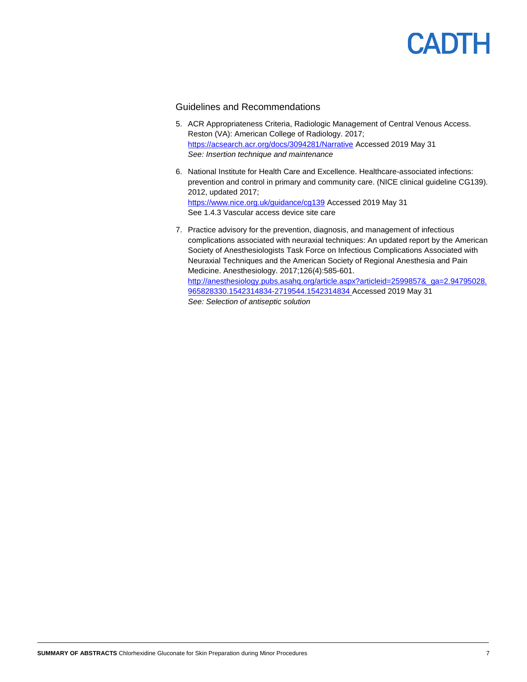#### Guidelines and Recommendations

- 5. ACR Appropriateness Criteria, Radiologic Management of Central Venous Access. Reston (VA): American College of Radiology. 2017; <https://acsearch.acr.org/docs/3094281/Narrative> Accessed 2019 May 31 *See: Insertion technique and maintenance*
- 6. National Institute for Health Care and Excellence. Healthcare-associated infections: prevention and control in primary and community care. (NICE clinical guideline CG139). 2012, updated 2017; <https://www.nice.org.uk/guidance/cg139> Accessed 2019 May 31 See 1.4.3 Vascular access device site care
- 7. Practice advisory for the prevention, diagnosis, and management of infectious complications associated with neuraxial techniques: An updated report by the American Society of Anesthesiologists Task Force on Infectious Complications Associated with Neuraxial Techniques and the American Society of Regional Anesthesia and Pain Medicine. Anesthesiology. 2017;126(4):585-601. [http://anesthesiology.pubs.asahq.org/article.aspx?articleid=2599857&\\_ga=2.94795028.](http://anesthesiology.pubs.asahq.org/article.aspx?articleid=2599857&_ga=2.94795028.965828330.1542314834-2719544.1542314834) [965828330.1542314834-2719544.1542314834](http://anesthesiology.pubs.asahq.org/article.aspx?articleid=2599857&_ga=2.94795028.965828330.1542314834-2719544.1542314834) Accessed 2019 May 31 *See: Selection of antiseptic solution*